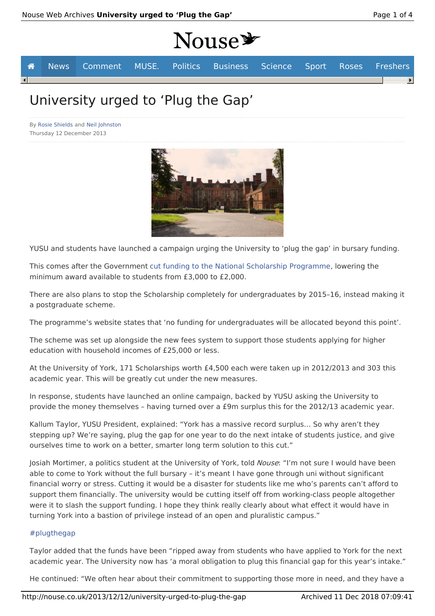# Nouse<sup>y</sup>



# University urged to 'Plug the Gap'

By Rosie Shields and Neil Johnston Thursday 12 December 2013



YUSU and students have launched a campaign urging the University to 'plug the gap' in bursary funding.

This comes after the Government cut funding to the National Scholarship Programme, lowering the minimum award available to students from £3,000 to £2,000.

There are also plans to stop the Scholarship completely for undergraduates by 2015–16, instead making it a postgraduate scheme.

The programme's website states that 'no funding for undergraduates will be allocated beyond this point'.

The scheme was set up alongside the new fees system to support those students applying for higher education with household incomes of £25,000 or less.

At the University of York, 171 Scholarships worth £4,500 each were taken up in 2012/2013 and 303 this academic year. This will be greatly cut under the new measures.

In response, students have launched an online campaign, backed by YUSU asking the University to provide the money themselves – having turned over a £9m surplus this for the 2012/13 academic year.

Kallum Taylor, YUSU President, explained: "York has a massive record surplus… So why aren't they stepping up? We're saying, plug the gap for one year to do the next intake of students justice, and give ourselves time to work on a better, smarter long term solution to this cut."

Josiah Mortimer, a politics student at the University of York, told Nouse: "I'm not sure I would have been able to come to York without the full bursary – it's meant I have gone through uni without significant financial worry or stress. Cutting it would be a disaster for students like me who's parents can't afford to support them financially. The university would be cutting itself off from working-class people altogether were it to slash the support funding. I hope they think really clearly about what effect it would have in turning York into a bastion of privilege instead of an open and pluralistic campus."

### #plugthegap

Taylor added that the funds have been "ripped away from students who have applied to York for the next academic year. The University now has 'a moral obligation to plug this financial gap for this year's intake."

He continued: "We often hear about their commitment to supporting those more in need, and they have a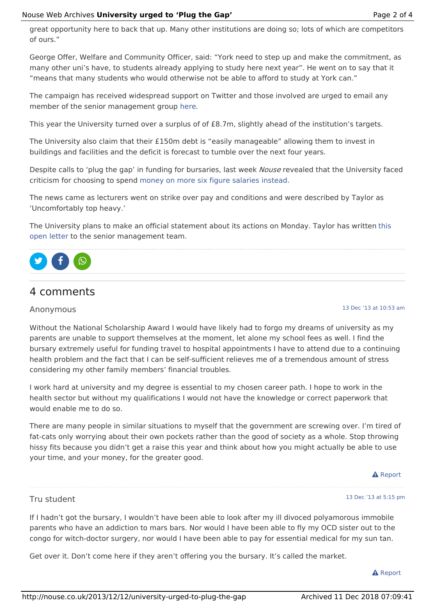George Offer, Welfare and Community Officer, said: "York need to step up and make the commitment, as many other uni's have, to students already applying to study here next year". He went on to say that it "means that many students who would otherwise not be able to afford to study at York can."

The campaign has received widespread support on Twitter and those involved are urged to email any member of the senior management group here.

This year the University turned over a surplus of of £8.7m, slightly ahead of the institution's targets.

The University also claim that their £150m debt is "easily manageable" allowing them to invest in buildings and facilities and the deficit is forecast to tumble over the next four years.

Despite calls to 'plug the gap' in funding for bursaries, last week Nouse revealed that the University faced criticism for choosing to spend money on more six figure salaries instead.

The news came as lecturers went on strike over pay and conditions and were described by Taylor as 'Uncomfortably top heavy.'

The University plans to make an official statement about its actions on Monday. Taylor has written this open letter to the senior management team.



# 4 comments

### Anonymous

13 Dec '13 at 10:53 am

Without the National Scholarship Award I would have likely had to forgo my dreams of university as my parents are unable to support themselves at the moment, let alone my school fees as well. I find the bursary extremely useful for funding travel to hospital appointments I have to attend due to a continuing health problem and the fact that I can be self-sufficient relieves me of a tremendous amount of stress considering my other family members' financial troubles.

I work hard at university and my degree is essential to my chosen career path. I hope to work in the health sector but without my qualifications I would not have the knowledge or correct paperwork that would enable me to do so.

There are many people in similar situations to myself that the government are screwing over. I'm tired of fat-cats only worrying about their own pockets rather than the good of society as a whole. Stop throwing hissy fits because you didn't get a raise this year and think about how you might actually be able to use your time, and your money, for the greater good.

#### **A** Report

# Tru student

#### 13 Dec '13 at 5:15 pm

If I hadn't got the bursary, I wouldn't have been able to look after my ill divoced polyamorous immobile parents who have an addiction to mars bars. Nor would I have been able to fly my OCD sister out to the congo for witch-doctor surgery, nor would I have been able to pay for essential medical for my sun tan.

Get over it. Don't come here if they aren't offering you the bursary. It's called the market.

#### **A** Report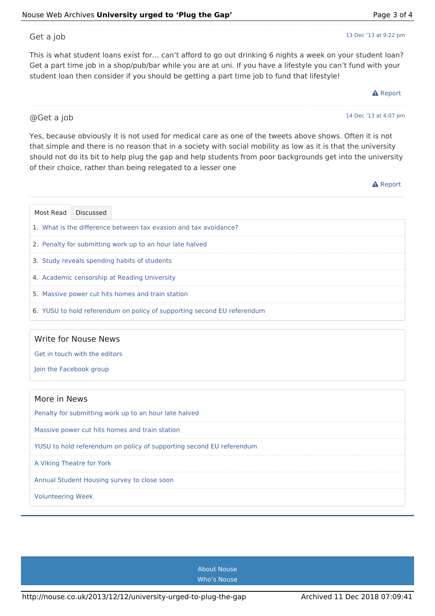Get a job

This is what student loans exist for… can't afford to go out drinking 6 nights a week on your student loan? Get a part time job in a shop/pub/bar while you are at uni. If you have a lifestyle you can't fund with your student loan then consider if you should be getting a part time job to fund that lifestyle!

http://nouse.co.uk/2013/12/12/university-urged-to-plug-the-gap Archived 11 Dec 2018 07:09:41

@Get a job

Yes, because obviously it is not used for medical care as one of the tweets above shows. Often it is not that simple and there is no reason that in a society with social mobility as low as it is that the university should not do its bit to help plug the gap and help students from poor backgrounds get into the university of their choice, rather than being relegated to a lesser one

**A** Report

|                                                                         | Most Read Discussed |  |  |
|-------------------------------------------------------------------------|---------------------|--|--|
| 1. What is the difference between tax evasion and tax avoidance?        |                     |  |  |
| 2. Penalty for submitting work up to an hour late halved                |                     |  |  |
| 3. Study reveals spending habits of students                            |                     |  |  |
| 4. Academic censorship at Reading University                            |                     |  |  |
| 5. Massive power cut hits homes and train station                       |                     |  |  |
| 6. YUSU to hold referendum on policy of supporting second EU referendum |                     |  |  |

### Write for Nouse News

Get in touch with the editors

Join the Facebook group

| More in News                                                         |  |  |
|----------------------------------------------------------------------|--|--|
| Penalty for submitting work up to an hour late halved                |  |  |
| Massive power cut hits homes and train station                       |  |  |
| YUSU to hold referendum on policy of supporting second EU referendum |  |  |
| A Viking Theatre for York                                            |  |  |
| Annual Student Housing survey to close soon                          |  |  |
| <b>Volunteering Week</b>                                             |  |  |

About Nouse Who's Nouse

## 13 Dec '13 at 9:22 pm

#### **A** Report

14 Dec '13 at 4:07 pm